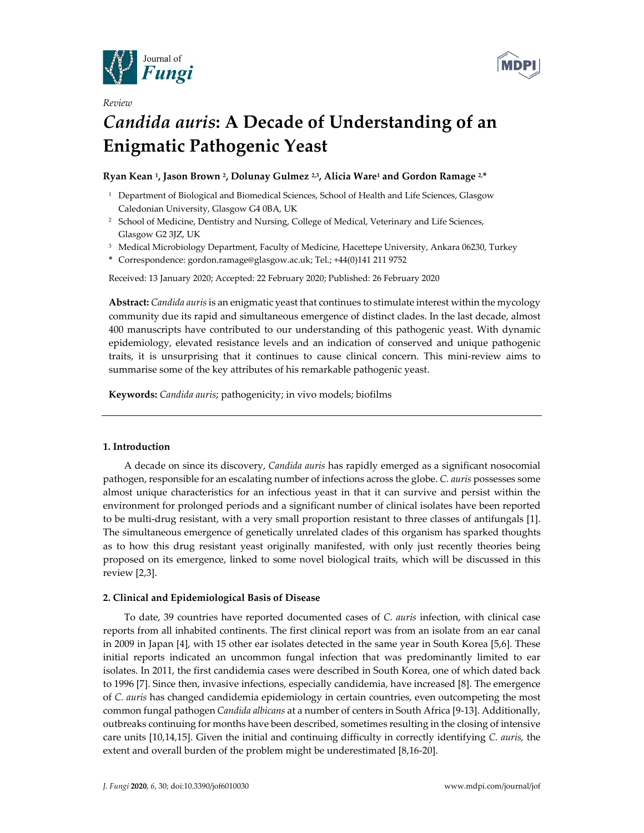



# *Review Candida auris***: A Decade of Understanding of an Enigmatic Pathogenic Yeast**

## **Ryan Kean 1, Jason Brown 2, Dolunay Gulmez 2,3, Alicia Ware1 and Gordon Ramage 2,\***

- <sup>1</sup> Department of Biological and Biomedical Sciences, School of Health and Life Sciences, Glasgow Caledonian University, Glasgow G4 0BA, UK
- <sup>2</sup> School of Medicine, Dentistry and Nursing, College of Medical, Veterinary and Life Sciences, Glasgow G2 3JZ, UK
- <sup>3</sup> Medical Microbiology Department, Faculty of Medicine, Hacettepe University, Ankara 06230, Turkey
- **\*** Correspondence: gordon.ramage@glasgow.ac.uk; Tel.; +44(0)141 211 9752

Received: 13 January 2020; Accepted: 22 February 2020; Published: 26 February 2020

**Abstract:** *Candida auris* is an enigmatic yeast that continues to stimulate interest within the mycology community due its rapid and simultaneous emergence of distinct clades. In the last decade, almost 400 manuscripts have contributed to our understanding of this pathogenic yeast. With dynamic epidemiology, elevated resistance levels and an indication of conserved and unique pathogenic traits, it is unsurprising that it continues to cause clinical concern. This mini-review aims to summarise some of the key attributes of his remarkable pathogenic yeast.

**Keywords:** *Candida auris*; pathogenicity; in vivo models; biofilms

#### **1. Introduction**

A decade on since its discovery, *Candida auris* has rapidly emerged as a significant nosocomial pathogen, responsible for an escalating number of infections across the globe. *C. auris* possesses some almost unique characteristics for an infectious yeast in that it can survive and persist within the environment for prolonged periods and a significant number of clinical isolates have been reported to be multi-drug resistant, with a very small proportion resistant to three classes of antifungals [1]. The simultaneous emergence of genetically unrelated clades of this organism has sparked thoughts as to how this drug resistant yeast originally manifested, with only just recently theories being proposed on its emergence, linked to some novel biological traits, which will be discussed in this review [2,3].

#### **2. Clinical and Epidemiological Basis of Disease**

To date, 39 countries have reported documented cases of *C. auris* infection, with clinical case reports from all inhabited continents. The first clinical report was from an isolate from an ear canal in 2009 in Japan [4], with 15 other ear isolates detected in the same year in South Korea [5,6]. These initial reports indicated an uncommon fungal infection that was predominantly limited to ear isolates. In 2011, the first candidemia cases were described in South Korea, one of which dated back to 1996 [7]. Since then, invasive infections, especially candidemia, have increased [8]. The emergence of *C. auris* has changed candidemia epidemiology in certain countries, even outcompeting the most common fungal pathogen *Candida albicans* at a number of centers in South Africa [9-13]. Additionally, outbreaks continuing for months have been described, sometimes resulting in the closing of intensive care units [10,14,15]. Given the initial and continuing difficulty in correctly identifying *C. auris,* the extent and overall burden of the problem might be underestimated [8,16-20].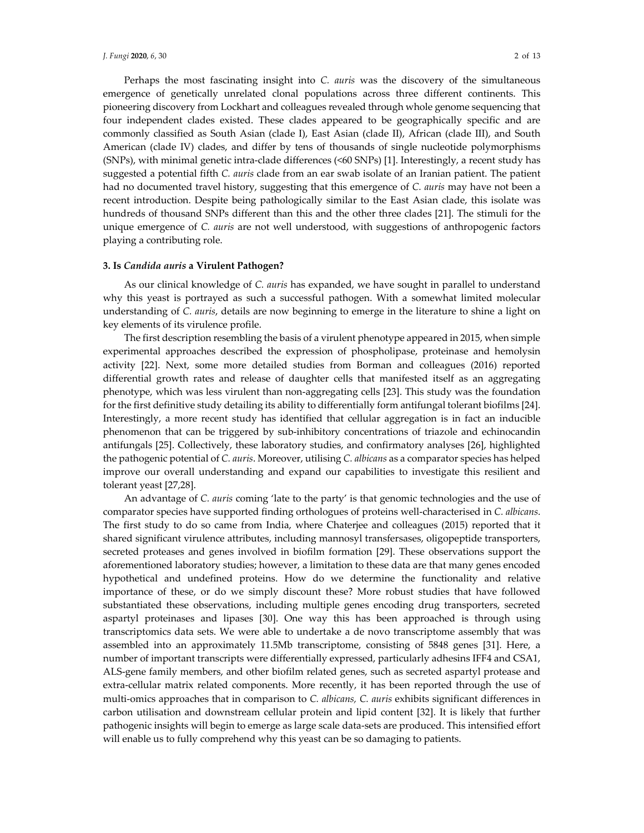Perhaps the most fascinating insight into *C. auris* was the discovery of the simultaneous emergence of genetically unrelated clonal populations across three different continents. This pioneering discovery from Lockhart and colleagues revealed through whole genome sequencing that four independent clades existed. These clades appeared to be geographically specific and are commonly classified as South Asian (clade I), East Asian (clade II), African (clade III), and South American (clade IV) clades, and differ by tens of thousands of single nucleotide polymorphisms (SNPs), with minimal genetic intra-clade differences (<60 SNPs) [1]. Interestingly, a recent study has suggested a potential fifth *C. auris* clade from an ear swab isolate of an Iranian patient. The patient had no documented travel history, suggesting that this emergence of *C. auris* may have not been a recent introduction. Despite being pathologically similar to the East Asian clade, this isolate was hundreds of thousand SNPs different than this and the other three clades [21]. The stimuli for the unique emergence of *C. auris* are not well understood, with suggestions of anthropogenic factors playing a contributing role.

#### **3. Is** *Candida auris* **a Virulent Pathogen?**

As our clinical knowledge of *C. auris* has expanded, we have sought in parallel to understand why this yeast is portrayed as such a successful pathogen. With a somewhat limited molecular understanding of *C. auris*, details are now beginning to emerge in the literature to shine a light on key elements of its virulence profile.

The first description resembling the basis of a virulent phenotype appeared in 2015, when simple experimental approaches described the expression of phospholipase, proteinase and hemolysin activity [22]. Next, some more detailed studies from Borman and colleagues (2016) reported differential growth rates and release of daughter cells that manifested itself as an aggregating phenotype, which was less virulent than non-aggregating cells [23]. This study was the foundation for the first definitive study detailing its ability to differentially form antifungal tolerant biofilms [24]. Interestingly, a more recent study has identified that cellular aggregation is in fact an inducible phenomenon that can be triggered by sub-inhibitory concentrations of triazole and echinocandin antifungals [25]. Collectively, these laboratory studies, and confirmatory analyses [26], highlighted the pathogenic potential of *C. auris*. Moreover, utilising *C. albicans* as a comparator species has helped improve our overall understanding and expand our capabilities to investigate this resilient and tolerant yeast [27,28].

An advantage of *C. auris* coming 'late to the party' is that genomic technologies and the use of comparator species have supported finding orthologues of proteins well-characterised in *C. albicans*. The first study to do so came from India, where Chaterjee and colleagues (2015) reported that it shared significant virulence attributes, including mannosyl transfersases, oligopeptide transporters, secreted proteases and genes involved in biofilm formation [29]. These observations support the aforementioned laboratory studies; however, a limitation to these data are that many genes encoded hypothetical and undefined proteins. How do we determine the functionality and relative importance of these, or do we simply discount these? More robust studies that have followed substantiated these observations, including multiple genes encoding drug transporters, secreted aspartyl proteinases and lipases [30]. One way this has been approached is through using transcriptomics data sets. We were able to undertake a de novo transcriptome assembly that was assembled into an approximately 11.5Mb transcriptome, consisting of 5848 genes [31]. Here, a number of important transcripts were differentially expressed, particularly adhesins IFF4 and CSA1, ALS-gene family members, and other biofilm related genes, such as secreted aspartyl protease and extra-cellular matrix related components. More recently, it has been reported through the use of multi-omics approaches that in comparison to *C. albicans, C. auris* exhibits significant differences in carbon utilisation and downstream cellular protein and lipid content [32]. It is likely that further pathogenic insights will begin to emerge as large scale data-sets are produced. This intensified effort will enable us to fully comprehend why this yeast can be so damaging to patients.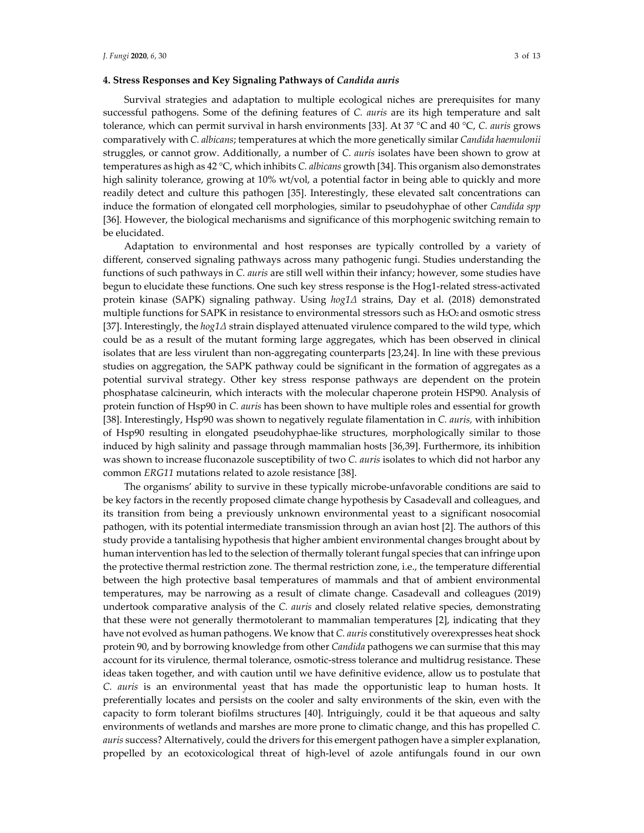## **4. Stress Responses and Key Signaling Pathways of** *Candida auris*

Survival strategies and adaptation to multiple ecological niches are prerequisites for many successful pathogens. Some of the defining features of *C. auris* are its high temperature and salt tolerance, which can permit survival in harsh environments [33]. At 37 °C and 40 °C, *C. auris* grows comparatively with *C. albicans*; temperatures at which the more genetically similar *Candida haemulonii* struggles, or cannot grow. Additionally, a number of *C. auris* isolates have been shown to grow at temperatures as high as 42 °C, which inhibits *C. albicans* growth [34]. This organism also demonstrates high salinity tolerance, growing at 10% wt/vol, a potential factor in being able to quickly and more readily detect and culture this pathogen [35]. Interestingly, these elevated salt concentrations can induce the formation of elongated cell morphologies, similar to pseudohyphae of other *Candida spp*  [36]*.* However, the biological mechanisms and significance of this morphogenic switching remain to be elucidated.

Adaptation to environmental and host responses are typically controlled by a variety of different, conserved signaling pathways across many pathogenic fungi. Studies understanding the functions of such pathways in *C. auris* are still well within their infancy; however, some studies have begun to elucidate these functions. One such key stress response is the Hog1-related stress-activated protein kinase (SAPK) signaling pathway. Using *hog1Δ* strains, Day et al. (2018) demonstrated multiple functions for SAPK in resistance to environmental stressors such as H<sub>2</sub>O<sub>2</sub> and osmotic stress [37]. Interestingly, the *hog1Δ* strain displayed attenuated virulence compared to the wild type, which could be as a result of the mutant forming large aggregates, which has been observed in clinical isolates that are less virulent than non-aggregating counterparts [23,24]. In line with these previous studies on aggregation, the SAPK pathway could be significant in the formation of aggregates as a potential survival strategy. Other key stress response pathways are dependent on the protein phosphatase calcineurin, which interacts with the molecular chaperone protein HSP90. Analysis of protein function of Hsp90 in *C. auris* has been shown to have multiple roles and essential for growth [38]. Interestingly, Hsp90 was shown to negatively regulate filamentation in *C. auris,* with inhibition of Hsp90 resulting in elongated pseudohyphae-like structures, morphologically similar to those induced by high salinity and passage through mammalian hosts [36,39]. Furthermore, its inhibition was shown to increase fluconazole susceptibility of two *C. auris* isolates to which did not harbor any common *ERG11* mutations related to azole resistance [38].

The organisms' ability to survive in these typically microbe-unfavorable conditions are said to be key factors in the recently proposed climate change hypothesis by Casadevall and colleagues, and its transition from being a previously unknown environmental yeast to a significant nosocomial pathogen, with its potential intermediate transmission through an avian host [2]. The authors of this study provide a tantalising hypothesis that higher ambient environmental changes brought about by human intervention has led to the selection of thermally tolerant fungal species that can infringe upon the protective thermal restriction zone. The thermal restriction zone, i.e., the temperature differential between the high protective basal temperatures of mammals and that of ambient environmental temperatures, may be narrowing as a result of climate change. Casadevall and colleagues (2019) undertook comparative analysis of the *C. auris* and closely related relative species, demonstrating that these were not generally thermotolerant to mammalian temperatures [2], indicating that they have not evolved as human pathogens. We know that *C. auris* constitutively overexpresses heat shock protein 90, and by borrowing knowledge from other *Candida* pathogens we can surmise that this may account for its virulence, thermal tolerance, osmotic-stress tolerance and multidrug resistance. These ideas taken together, and with caution until we have definitive evidence, allow us to postulate that *C. auris* is an environmental yeast that has made the opportunistic leap to human hosts. It preferentially locates and persists on the cooler and salty environments of the skin, even with the capacity to form tolerant biofilms structures [40]. Intriguingly, could it be that aqueous and salty environments of wetlands and marshes are more prone to climatic change, and this has propelled *C. auris* success? Alternatively, could the drivers for this emergent pathogen have a simpler explanation, propelled by an ecotoxicological threat of high-level of azole antifungals found in our own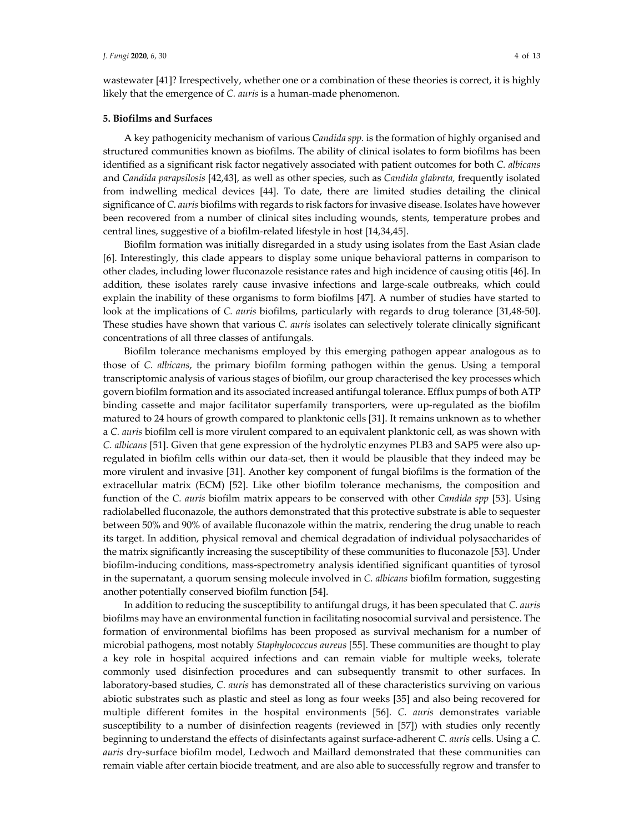wastewater [41]? Irrespectively, whether one or a combination of these theories is correct, it is highly likely that the emergence of *C. auris* is a human-made phenomenon.

#### **5. Biofilms and Surfaces**

A key pathogenicity mechanism of various *Candida spp.* is the formation of highly organised and structured communities known as biofilms. The ability of clinical isolates to form biofilms has been identified as a significant risk factor negatively associated with patient outcomes for both *C. albicans*  and *Candida parapsilosis* [42,43], as well as other species, such as *Candida glabrata,* frequently isolated from indwelling medical devices [44]. To date, there are limited studies detailing the clinical significance of *C. auris* biofilms with regards to risk factors for invasive disease. Isolates have however been recovered from a number of clinical sites including wounds, stents, temperature probes and central lines, suggestive of a biofilm-related lifestyle in host [14,34,45].

Biofilm formation was initially disregarded in a study using isolates from the East Asian clade [6]. Interestingly, this clade appears to display some unique behavioral patterns in comparison to other clades, including lower fluconazole resistance rates and high incidence of causing otitis [46]. In addition, these isolates rarely cause invasive infections and large-scale outbreaks, which could explain the inability of these organisms to form biofilms [47]. A number of studies have started to look at the implications of *C. auris* biofilms, particularly with regards to drug tolerance [31,48-50]. These studies have shown that various *C. auris* isolates can selectively tolerate clinically significant concentrations of all three classes of antifungals.

Biofilm tolerance mechanisms employed by this emerging pathogen appear analogous as to those of *C. albicans*, the primary biofilm forming pathogen within the genus. Using a temporal transcriptomic analysis of various stages of biofilm, our group characterised the key processes which govern biofilm formation and its associated increased antifungal tolerance. Efflux pumps of both ATP binding cassette and major facilitator superfamily transporters, were up-regulated as the biofilm matured to 24 hours of growth compared to planktonic cells [31]. It remains unknown as to whether a *C. auris* biofilm cell is more virulent compared to an equivalent planktonic cell, as was shown with *C. albicans* [51]. Given that gene expression of the hydrolytic enzymes PLB3 and SAP5 were also upregulated in biofilm cells within our data-set, then it would be plausible that they indeed may be more virulent and invasive [31]. Another key component of fungal biofilms is the formation of the extracellular matrix (ECM) [52]. Like other biofilm tolerance mechanisms, the composition and function of the *C. auris* biofilm matrix appears to be conserved with other *Candida spp* [53]. Using radiolabelled fluconazole, the authors demonstrated that this protective substrate is able to sequester between 50% and 90% of available fluconazole within the matrix, rendering the drug unable to reach its target. In addition, physical removal and chemical degradation of individual polysaccharides of the matrix significantly increasing the susceptibility of these communities to fluconazole [53]. Under biofilm-inducing conditions, mass-spectrometry analysis identified significant quantities of tyrosol in the supernatant, a quorum sensing molecule involved in *C. albicans* biofilm formation, suggesting another potentially conserved biofilm function [54].

In addition to reducing the susceptibility to antifungal drugs, it has been speculated that *C. auris*  biofilms may have an environmental function in facilitating nosocomial survival and persistence. The formation of environmental biofilms has been proposed as survival mechanism for a number of microbial pathogens, most notably *Staphylococcus aureus* [55]. These communities are thought to play a key role in hospital acquired infections and can remain viable for multiple weeks, tolerate commonly used disinfection procedures and can subsequently transmit to other surfaces. In laboratory-based studies, *C. auris* has demonstrated all of these characteristics surviving on various abiotic substrates such as plastic and steel as long as four weeks [35] and also being recovered for multiple different fomites in the hospital environments [56]. *C. auris* demonstrates variable susceptibility to a number of disinfection reagents (reviewed in [57]) with studies only recently beginning to understand the effects of disinfectants against surface-adherent *C. auris* cells. Using a *C. auris* dry-surface biofilm model, Ledwoch and Maillard demonstrated that these communities can remain viable after certain biocide treatment, and are also able to successfully regrow and transfer to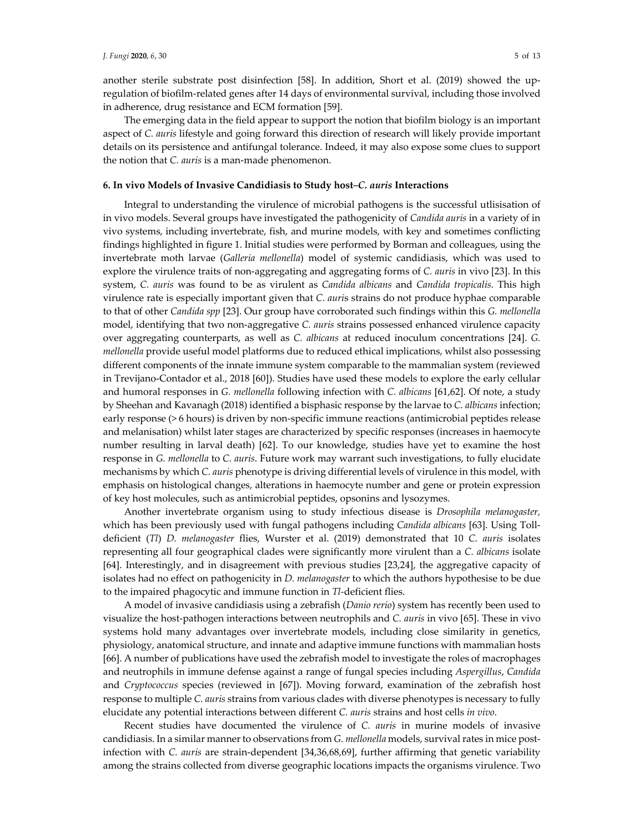another sterile substrate post disinfection [58]. In addition, Short et al. (2019) showed the upregulation of biofilm-related genes after 14 days of environmental survival, including those involved in adherence, drug resistance and ECM formation [59].

The emerging data in the field appear to support the notion that biofilm biology is an important aspect of *C. auris* lifestyle and going forward this direction of research will likely provide important details on its persistence and antifungal tolerance. Indeed, it may also expose some clues to support the notion that *C. auris* is a man-made phenomenon.

#### **6. In vivo Models of Invasive Candidiasis to Study host***–C. auris* **Interactions**

Integral to understanding the virulence of microbial pathogens is the successful utlisisation of in vivo models. Several groups have investigated the pathogenicity of *Candida auris* in a variety of in vivo systems, including invertebrate, fish, and murine models, with key and sometimes conflicting findings highlighted in figure 1. Initial studies were performed by Borman and colleagues, using the invertebrate moth larvae (*Galleria mellonella*) model of systemic candidiasis, which was used to explore the virulence traits of non-aggregating and aggregating forms of *C. auris* in vivo [23]. In this system, *C. auris* was found to be as virulent as *Candida albicans* and *Candida tropicalis*. This high virulence rate is especially important given that *C. auri*s strains do not produce hyphae comparable to that of other *Candida spp* [23]. Our group have corroborated such findings within this *G. mellonella* model, identifying that two non-aggregative *C. auris* strains possessed enhanced virulence capacity over aggregating counterparts, as well as *C. albicans* at reduced inoculum concentrations [24]. *G. mellonella* provide useful model platforms due to reduced ethical implications, whilst also possessing different components of the innate immune system comparable to the mammalian system (reviewed in Trevijano-Contador et al., 2018 [60]). Studies have used these models to explore the early cellular and humoral responses in *G. mellonella* following infection with *C. albicans* [61,62]. Of note, a study by Sheehan and Kavanagh (2018) identified a bisphasic response by the larvae to *C. albicans* infection; early response (> 6 hours) is driven by non-specific immune reactions (antimicrobial peptides release and melanisation) whilst later stages are characterized by specific responses (increases in haemocyte number resulting in larval death) [62]. To our knowledge, studies have yet to examine the host response in *G. mellonella* to *C. auris*. Future work may warrant such investigations, to fully elucidate mechanisms by which *C. auris* phenotype is driving differential levels of virulence in this model, with emphasis on histological changes, alterations in haemocyte number and gene or protein expression of key host molecules, such as antimicrobial peptides, opsonins and lysozymes.

Another invertebrate organism using to study infectious disease is *Drosophila melanogaster,*  which has been previously used with fungal pathogens including *Candida albicans* [63]. Using Tolldeficient (*Tl*) *D. melanogaster* flies, Wurster et al. (2019) demonstrated that 10 *C. auris* isolates representing all four geographical clades were significantly more virulent than a *C. albicans* isolate [64]. Interestingly, and in disagreement with previous studies [23,24], the aggregative capacity of isolates had no effect on pathogenicity in *D. melanogaster* to which the authors hypothesise to be due to the impaired phagocytic and immune function in *Tl-*deficient flies.

A model of invasive candidiasis using a zebrafish (*Danio rerio*) system has recently been used to visualize the host-pathogen interactions between neutrophils and *C. auris* in vivo [65]. These in vivo systems hold many advantages over invertebrate models, including close similarity in genetics, physiology, anatomical structure, and innate and adaptive immune functions with mammalian hosts [66]. A number of publications have used the zebrafish model to investigate the roles of macrophages and neutrophils in immune defense against a range of fungal species including *Aspergillus*, *Candida* and *Cryptococcus* species (reviewed in [67]). Moving forward, examination of the zebrafish host response to multiple *C. auris* strains from various clades with diverse phenotypes is necessary to fully elucidate any potential interactions between different *C. auris* strains and host cells *in vivo*.

Recent studies have documented the virulence of *C. auris* in murine models of invasive candidiasis. In a similar manner to observations from *G. mellonella* models, survival rates in mice postinfection with *C. auris* are strain-dependent [34,36,68,69], further affirming that genetic variability among the strains collected from diverse geographic locations impacts the organisms virulence. Two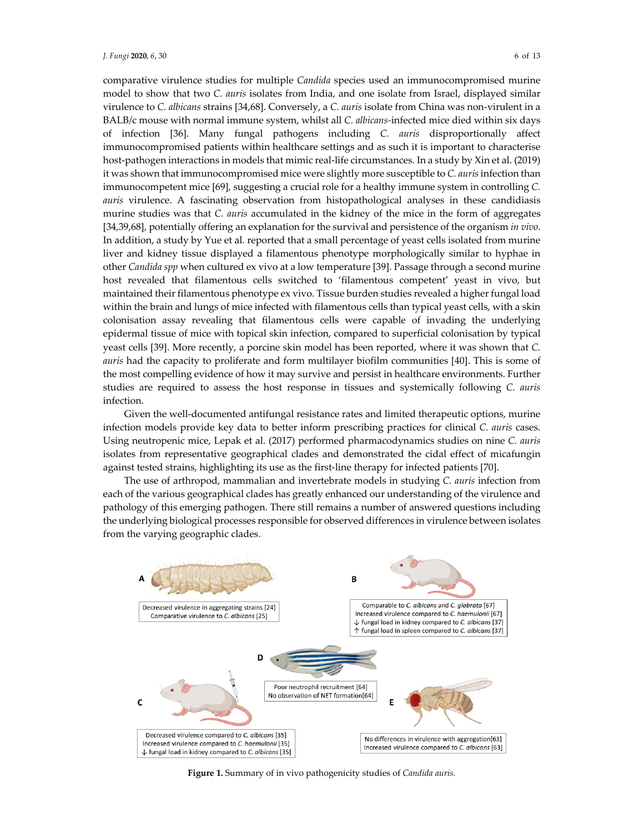comparative virulence studies for multiple *Candida* species used an immunocompromised murine model to show that two *C. auris* isolates from India, and one isolate from Israel, displayed similar virulence to *C. albicans* strains [34,68]. Conversely, a *C. auris* isolate from China was non-virulent in a BALB/c mouse with normal immune system, whilst all *C. albicans-*infected mice died within six days of infection [36]. Many fungal pathogens including *C. auris* disproportionally affect immunocompromised patients within healthcare settings and as such it is important to characterise host-pathogen interactions in models that mimic real-life circumstances. In a study by Xin et al. (2019) it was shown that immunocompromised mice were slightly more susceptible to *C. auris* infection than immunocompetent mice [69], suggesting a crucial role for a healthy immune system in controlling *C. auris* virulence. A fascinating observation from histopathological analyses in these candidiasis murine studies was that *C. auris* accumulated in the kidney of the mice in the form of aggregates [34,39,68], potentially offering an explanation for the survival and persistence of the organism *in vivo*. In addition, a study by Yue et al*.* reported that a small percentage of yeast cells isolated from murine liver and kidney tissue displayed a filamentous phenotype morphologically similar to hyphae in other *Candida spp* when cultured ex vivo at a low temperature [39]. Passage through a second murine host revealed that filamentous cells switched to 'filamentous competent' yeast in vivo, but maintained their filamentous phenotype ex vivo. Tissue burden studies revealed a higher fungal load within the brain and lungs of mice infected with filamentous cells than typical yeast cells, with a skin colonisation assay revealing that filamentous cells were capable of invading the underlying epidermal tissue of mice with topical skin infection, compared to superficial colonisation by typical yeast cells [39]. More recently, a porcine skin model has been reported, where it was shown that *C. auris* had the capacity to proliferate and form multilayer biofilm communities [40]. This is some of the most compelling evidence of how it may survive and persist in healthcare environments. Further studies are required to assess the host response in tissues and systemically following *C. auris* infection.

Given the well-documented antifungal resistance rates and limited therapeutic options, murine infection models provide key data to better inform prescribing practices for clinical *C. auris* cases. Using neutropenic mice, Lepak et al. (2017) performed pharmacodynamics studies on nine *C. auris*  isolates from representative geographical clades and demonstrated the cidal effect of micafungin against tested strains, highlighting its use as the first-line therapy for infected patients [70].

The use of arthropod, mammalian and invertebrate models in studying *C. auris* infection from each of the various geographical clades has greatly enhanced our understanding of the virulence and pathology of this emerging pathogen. There still remains a number of answered questions including the underlying biological processes responsible for observed differences in virulence between isolates from the varying geographic clades.



**Figure 1.** Summary of in vivo pathogenicity studies of *Candida auris.*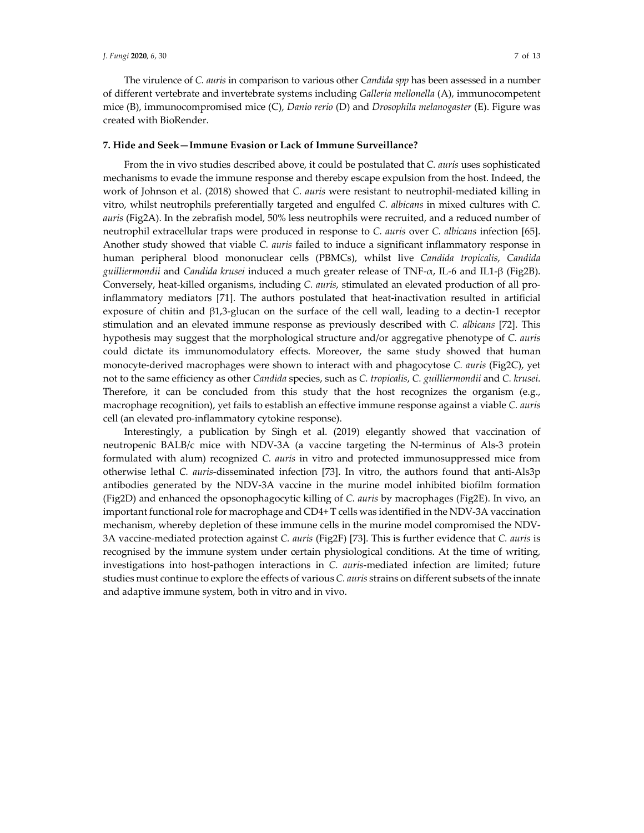#### *J. Fungi* **2020**, *6*, 30 7 of 13

The virulence of *C. auris* in comparison to various other *Candida spp* has been assessed in a number of different vertebrate and invertebrate systems including *Galleria mellonella* (A), immunocompetent mice (B), immunocompromised mice (C), *Danio rerio* (D) and *Drosophila melanogaster* (E). Figure was created with BioRender.

## **7. Hide and Seek—Immune Evasion or Lack of Immune Surveillance?**

From the in vivo studies described above, it could be postulated that *C. auris* uses sophisticated mechanisms to evade the immune response and thereby escape expulsion from the host. Indeed, the work of Johnson et al. (2018) showed that *C. auris* were resistant to neutrophil-mediated killing in vitro, whilst neutrophils preferentially targeted and engulfed *C. albicans* in mixed cultures with *C. auris* (Fig2A). In the zebrafish model, 50% less neutrophils were recruited, and a reduced number of neutrophil extracellular traps were produced in response to *C. auris* over *C. albicans* infection [65]. Another study showed that viable *C. auris* failed to induce a significant inflammatory response in human peripheral blood mononuclear cells (PBMCs), whilst live *Candida tropicalis*, *Candida guilliermondii* and *Candida krusei* induced a much greater release of TNF-α, IL-6 and IL1-β (Fig2B). Conversely, heat-killed organisms, including *C. auris*, stimulated an elevated production of all proinflammatory mediators [71]. The authors postulated that heat-inactivation resulted in artificial exposure of chitin and β1,3-glucan on the surface of the cell wall, leading to a dectin-1 receptor stimulation and an elevated immune response as previously described with *C. albicans* [72]. This hypothesis may suggest that the morphological structure and/or aggregative phenotype of *C. auris* could dictate its immunomodulatory effects. Moreover, the same study showed that human monocyte-derived macrophages were shown to interact with and phagocytose *C. auris* (Fig2C), yet not to the same efficiency as other *Candida* species, such as *C. tropicalis*, *C. guilliermondii* and *C. krusei*. Therefore, it can be concluded from this study that the host recognizes the organism (e.g., macrophage recognition), yet fails to establish an effective immune response against a viable *C. auris* cell (an elevated pro-inflammatory cytokine response).

Interestingly, a publication by Singh et al. (2019) elegantly showed that vaccination of neutropenic BALB/c mice with NDV-3A (a vaccine targeting the N-terminus of Als-3 protein formulated with alum) recognized *C. auris* in vitro and protected immunosuppressed mice from otherwise lethal *C. auris*-disseminated infection [73]. In vitro, the authors found that anti-Als3p antibodies generated by the NDV-3A vaccine in the murine model inhibited biofilm formation (Fig2D) and enhanced the opsonophagocytic killing of *C. auris* by macrophages (Fig2E). In vivo, an important functional role for macrophage and CD4+ T cells was identified in the NDV-3A vaccination mechanism, whereby depletion of these immune cells in the murine model compromised the NDV-3A vaccine-mediated protection against *C. auris* (Fig2F) [73]. This is further evidence that *C. auris* is recognised by the immune system under certain physiological conditions. At the time of writing, investigations into host-pathogen interactions in *C. auris*-mediated infection are limited; future studies must continue to explore the effects of various *C. auris* strains on different subsets of the innate and adaptive immune system, both in vitro and in vivo.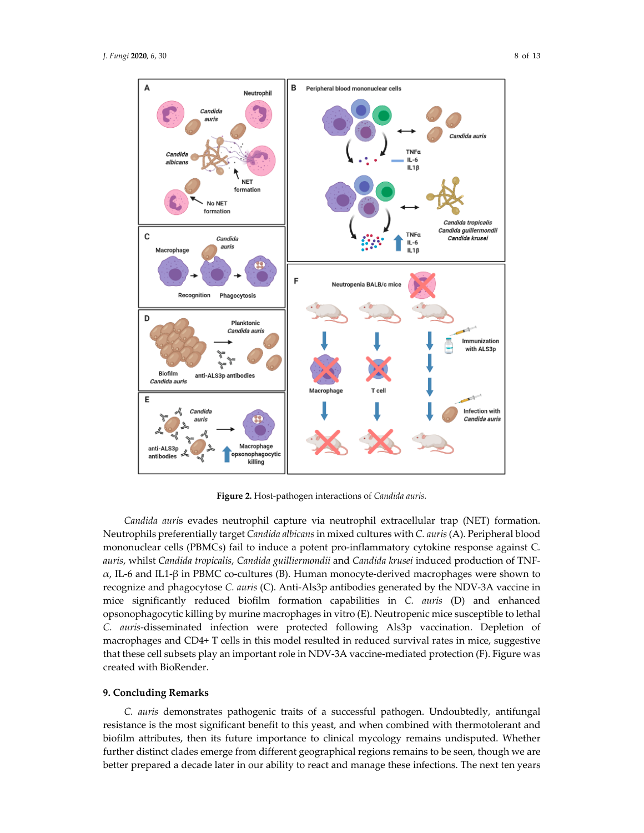

**Figure 2.** Host-pathogen interactions of *Candida auris.*

*Candida auri*s evades neutrophil capture via neutrophil extracellular trap (NET) formation. Neutrophils preferentially target *Candida albicans* in mixed cultures with *C. auris* (A). Peripheral blood mononuclear cells (PBMCs) fail to induce a potent pro-inflammatory cytokine response against C*. auris*, whilst *Candida tropicalis*, *Candida guilliermondii* and *Candida krusei* induced production of TNF- $\alpha$ , IL-6 and IL1-β in PBMC co-cultures (B). Human monocyte-derived macrophages were shown to recognize and phagocytose *C. auris* (C). Anti-Als3p antibodies generated by the NDV-3A vaccine in mice significantly reduced biofilm formation capabilities in *C. auris* (D) and enhanced opsonophagocytic killing by murine macrophages in vitro (E). Neutropenic mice susceptible to lethal *C. auris*-disseminated infection were protected following Als3p vaccination. Depletion of macrophages and CD4+ T cells in this model resulted in reduced survival rates in mice, suggestive that these cell subsets play an important role in NDV-3A vaccine-mediated protection (F). Figure was created with BioRender.

## **9. Concluding Remarks**

*C. auris* demonstrates pathogenic traits of a successful pathogen. Undoubtedly, antifungal resistance is the most significant benefit to this yeast, and when combined with thermotolerant and biofilm attributes, then its future importance to clinical mycology remains undisputed. Whether further distinct clades emerge from different geographical regions remains to be seen, though we are better prepared a decade later in our ability to react and manage these infections. The next ten years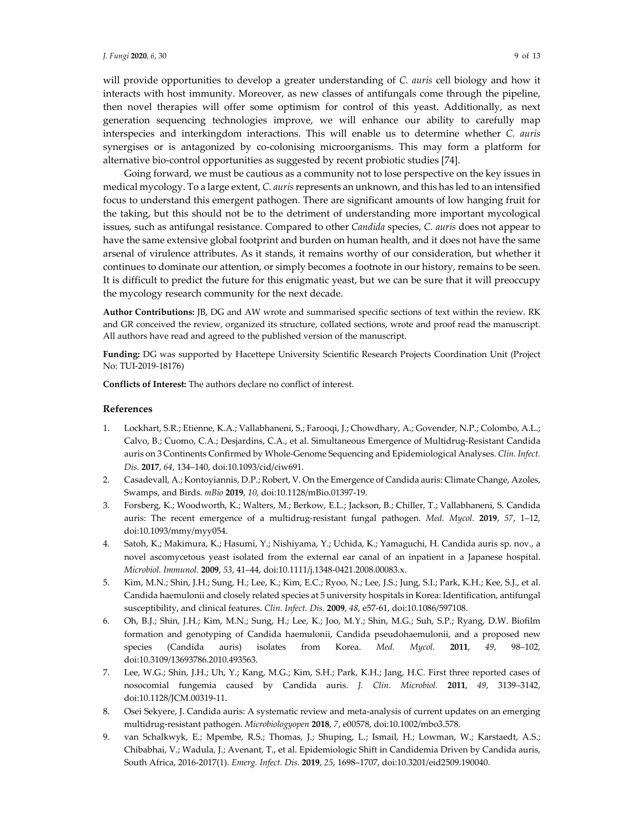will provide opportunities to develop a greater understanding of *C. auris* cell biology and how it interacts with host immunity. Moreover, as new classes of antifungals come through the pipeline, then novel therapies will offer some optimism for control of this yeast. Additionally, as next generation sequencing technologies improve, we will enhance our ability to carefully map interspecies and interkingdom interactions. This will enable us to determine whether *C. auris*  synergises or is antagonized by co-colonising microorganisms. This may form a platform for alternative bio-control opportunities as suggested by recent probiotic studies [74].

Going forward, we must be cautious as a community not to lose perspective on the key issues in medical mycology. To a large extent, *C. auris* represents an unknown, and this has led to an intensified focus to understand this emergent pathogen. There are significant amounts of low hanging fruit for the taking, but this should not be to the detriment of understanding more important mycological issues, such as antifungal resistance. Compared to other *Candida* species, *C. auris* does not appear to have the same extensive global footprint and burden on human health, and it does not have the same arsenal of virulence attributes. As it stands, it remains worthy of our consideration, but whether it continues to dominate our attention, or simply becomes a footnote in our history, remains to be seen. It is difficult to predict the future for this enigmatic yeast, but we can be sure that it will preoccupy the mycology research community for the next decade.

**Author Contributions:** JB, DG and AW wrote and summarised specific sections of text within the review. RK and GR conceived the review, organized its structure, collated sections, wrote and proof read the manuscript. All authors have read and agreed to the published version of the manuscript.

**Funding:** DG was supported by Hacettepe University Scientific Research Projects Coordination Unit (Project No: TUI-2019-18176)

**Conflicts of Interest:** The authors declare no conflict of interest.

### **References**

- 1. Lockhart, S.R.; Etienne, K.A.; Vallabhaneni, S.; Farooqi, J.; Chowdhary, A.; Govender, N.P.; Colombo, A.L.; Calvo, B.; Cuomo, C.A.; Desjardins, C.A., et al. Simultaneous Emergence of Multidrug-Resistant Candida auris on 3 Continents Confirmed by Whole-Genome Sequencing and Epidemiological Analyses. *Clin. Infect. Dis.* **2017**, *64*, 134–140, doi:10.1093/cid/ciw691.
- 2. Casadevall, A.; Kontoyiannis, D.P.; Robert, V. On the Emergence of Candida auris: Climate Change, Azoles, Swamps, and Birds. *mBio* **2019**, *10*, doi:10.1128/mBio.01397-19.
- 3. Forsberg, K.; Woodworth, K.; Walters, M.; Berkow, E.L.; Jackson, B.; Chiller, T.; Vallabhaneni, S. Candida auris: The recent emergence of a multidrug-resistant fungal pathogen. *Med. Mycol.* **2019**, *57*, 1–12, doi:10.1093/mmy/myy054.
- 4. Satoh, K.; Makimura, K.; Hasumi, Y.; Nishiyama, Y.; Uchida, K.; Yamaguchi, H. Candida auris sp. nov., a novel ascomycetous yeast isolated from the external ear canal of an inpatient in a Japanese hospital. *Microbiol. Immunol.* **2009**, *53*, 41–44, doi:10.1111/j.1348-0421.2008.00083.x.
- 5. Kim, M.N.; Shin, J.H.; Sung, H.; Lee, K.; Kim, E.C.; Ryoo, N.; Lee, J.S.; Jung, S.I.; Park, K.H.; Kee, S.J., et al. Candida haemulonii and closely related species at 5 university hospitals in Korea: Identification, antifungal susceptibility, and clinical features. *Clin. Infect. Dis.* **2009**, *48*, e57-61, doi:10.1086/597108.
- 6. Oh, B.J.; Shin, J.H.; Kim, M.N.; Sung, H.; Lee, K.; Joo, M.Y.; Shin, M.G.; Suh, S.P.; Ryang, D.W. Biofilm formation and genotyping of Candida haemulonii, Candida pseudohaemulonii, and a proposed new species (Candida auris) isolates from Korea. *Med. Mycol.* **2011**, *49*, 98–102, doi:10.3109/13693786.2010.493563.
- 7. Lee, W.G.; Shin, J.H.; Uh, Y.; Kang, M.G.; Kim, S.H.; Park, K.H.; Jang, H.C. First three reported cases of nosocomial fungemia caused by Candida auris. *J. Clin. Microbiol.* **2011**, *49*, 3139–3142, doi:10.1128/JCM.00319-11.
- 8. Osei Sekyere, J. Candida auris: A systematic review and meta-analysis of current updates on an emerging multidrug-resistant pathogen. *Microbiologyopen* **2018**, *7*, e00578, doi:10.1002/mbo3.578.
- 9. van Schalkwyk, E.; Mpembe, R.S.; Thomas, J.; Shuping, L.; Ismail, H.; Lowman, W.; Karstaedt, A.S.; Chibabhai, V.; Wadula, J.; Avenant, T., et al. Epidemiologic Shift in Candidemia Driven by Candida auris, South Africa, 2016-2017(1). *Emerg. Infect. Dis.* **2019**, *25*, 1698–1707, doi:10.3201/eid2509.190040.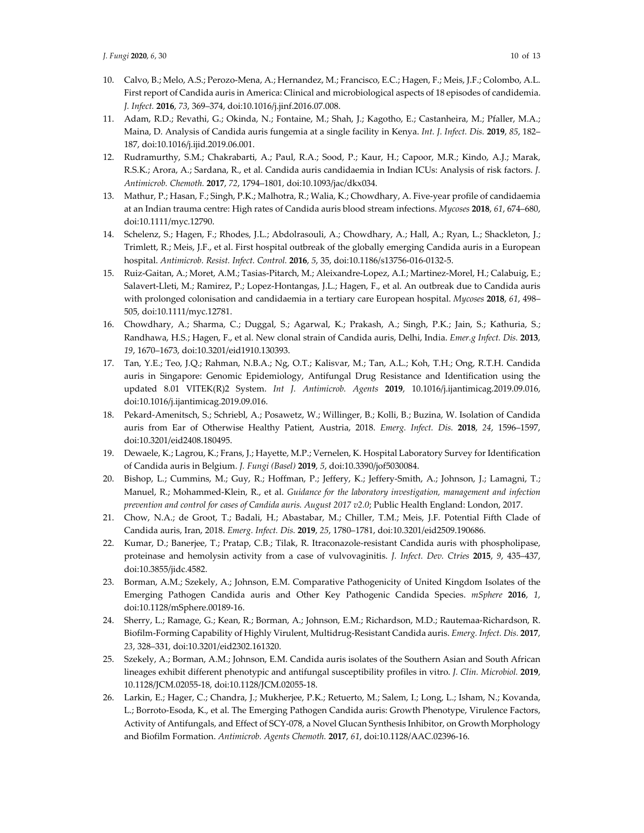- 10. Calvo, B.; Melo, A.S.; Perozo-Mena, A.; Hernandez, M.; Francisco, E.C.; Hagen, F.; Meis, J.F.; Colombo, A.L. First report of Candida auris in America: Clinical and microbiological aspects of 18 episodes of candidemia. *J. Infect.* **2016**, *73*, 369–374, doi:10.1016/j.jinf.2016.07.008.
- 11. Adam, R.D.; Revathi, G.; Okinda, N.; Fontaine, M.; Shah, J.; Kagotho, E.; Castanheira, M.; Pfaller, M.A.; Maina, D. Analysis of Candida auris fungemia at a single facility in Kenya. *Int. J. Infect. Dis.* **2019**, *85*, 182– 187, doi:10.1016/j.ijid.2019.06.001.
- 12. Rudramurthy, S.M.; Chakrabarti, A.; Paul, R.A.; Sood, P.; Kaur, H.; Capoor, M.R.; Kindo, A.J.; Marak, R.S.K.; Arora, A.; Sardana, R., et al. Candida auris candidaemia in Indian ICUs: Analysis of risk factors. *J. Antimicrob. Chemoth.* **2017**, *72*, 1794–1801, doi:10.1093/jac/dkx034.
- 13. Mathur, P.; Hasan, F.; Singh, P.K.; Malhotra, R.; Walia, K.; Chowdhary, A. Five-year profile of candidaemia at an Indian trauma centre: High rates of Candida auris blood stream infections. *Mycoses* **2018**, *61*, 674–680, doi:10.1111/myc.12790.
- 14. Schelenz, S.; Hagen, F.; Rhodes, J.L.; Abdolrasouli, A.; Chowdhary, A.; Hall, A.; Ryan, L.; Shackleton, J.; Trimlett, R.; Meis, J.F., et al. First hospital outbreak of the globally emerging Candida auris in a European hospital. *Antimicrob. Resist. Infect. Control.* **2016**, *5*, 35, doi:10.1186/s13756-016-0132-5.
- 15. Ruiz-Gaitan, A.; Moret, A.M.; Tasias-Pitarch, M.; Aleixandre-Lopez, A.I.; Martinez-Morel, H.; Calabuig, E.; Salavert-Lleti, M.; Ramirez, P.; Lopez-Hontangas, J.L.; Hagen, F., et al. An outbreak due to Candida auris with prolonged colonisation and candidaemia in a tertiary care European hospital. *Mycoses* **2018**, *61*, 498– 505, doi:10.1111/myc.12781.
- 16. Chowdhary, A.; Sharma, C.; Duggal, S.; Agarwal, K.; Prakash, A.; Singh, P.K.; Jain, S.; Kathuria, S.; Randhawa, H.S.; Hagen, F., et al. New clonal strain of Candida auris, Delhi, India. *Emer.g Infect. Dis.* **2013**, *19*, 1670–1673, doi:10.3201/eid1910.130393.
- 17. Tan, Y.E.; Teo, J.Q.; Rahman, N.B.A.; Ng, O.T.; Kalisvar, M.; Tan, A.L.; Koh, T.H.; Ong, R.T.H. Candida auris in Singapore: Genomic Epidemiology, Antifungal Drug Resistance and Identification using the updated 8.01 VITEK(R)2 System. *Int J. Antimicrob. Agents* **2019**, 10.1016/j.ijantimicag.2019.09.016, doi:10.1016/j.ijantimicag.2019.09.016.
- 18. Pekard-Amenitsch, S.; Schriebl, A.; Posawetz, W.; Willinger, B.; Kolli, B.; Buzina, W. Isolation of Candida auris from Ear of Otherwise Healthy Patient, Austria, 2018. *Emerg. Infect. Dis.* **2018**, *24*, 1596–1597, doi:10.3201/eid2408.180495.
- 19. Dewaele, K.; Lagrou, K.; Frans, J.; Hayette, M.P.; Vernelen, K. Hospital Laboratory Survey for Identification of Candida auris in Belgium. *J. Fungi (Basel)* **2019**, *5*, doi:10.3390/jof5030084.
- 20. Bishop, L.; Cummins, M.; Guy, R.; Hoffman, P.; Jeffery, K.; Jeffery-Smith, A.; Johnson, J.; Lamagni, T.; Manuel, R.; Mohammed-Klein, R., et al. *Guidance for the laboratory investigation, management and infection prevention and control for cases of Candida auris. August 2017 v2.0*; Public Health England: London, 2017.
- 21. Chow, N.A.; de Groot, T.; Badali, H.; Abastabar, M.; Chiller, T.M.; Meis, J.F. Potential Fifth Clade of Candida auris, Iran, 2018. *Emerg. Infect. Dis.* **2019**, *25*, 1780–1781, doi:10.3201/eid2509.190686.
- 22. Kumar, D.; Banerjee, T.; Pratap, C.B.; Tilak, R. Itraconazole-resistant Candida auris with phospholipase, proteinase and hemolysin activity from a case of vulvovaginitis. *J. Infect. Dev. Ctries* **2015**, *9*, 435–437, doi:10.3855/jidc.4582.
- 23. Borman, A.M.; Szekely, A.; Johnson, E.M. Comparative Pathogenicity of United Kingdom Isolates of the Emerging Pathogen Candida auris and Other Key Pathogenic Candida Species. *mSphere* **2016**, *1*, doi:10.1128/mSphere.00189-16.
- 24. Sherry, L.; Ramage, G.; Kean, R.; Borman, A.; Johnson, E.M.; Richardson, M.D.; Rautemaa-Richardson, R. Biofilm-Forming Capability of Highly Virulent, Multidrug-Resistant Candida auris. *Emerg. Infect. Dis.* **2017**, *23*, 328–331, doi:10.3201/eid2302.161320.
- 25. Szekely, A.; Borman, A.M.; Johnson, E.M. Candida auris isolates of the Southern Asian and South African lineages exhibit different phenotypic and antifungal susceptibility profiles in vitro. *J. Clin. Microbiol.* **2019**, 10.1128/JCM.02055-18, doi:10.1128/JCM.02055-18.
- 26. Larkin, E.; Hager, C.; Chandra, J.; Mukherjee, P.K.; Retuerto, M.; Salem, I.; Long, L.; Isham, N.; Kovanda, L.; Borroto-Esoda, K., et al. The Emerging Pathogen Candida auris: Growth Phenotype, Virulence Factors, Activity of Antifungals, and Effect of SCY-078, a Novel Glucan Synthesis Inhibitor, on Growth Morphology and Biofilm Formation. *Antimicrob. Agents Chemoth.* **2017**, *61*, doi:10.1128/AAC.02396-16.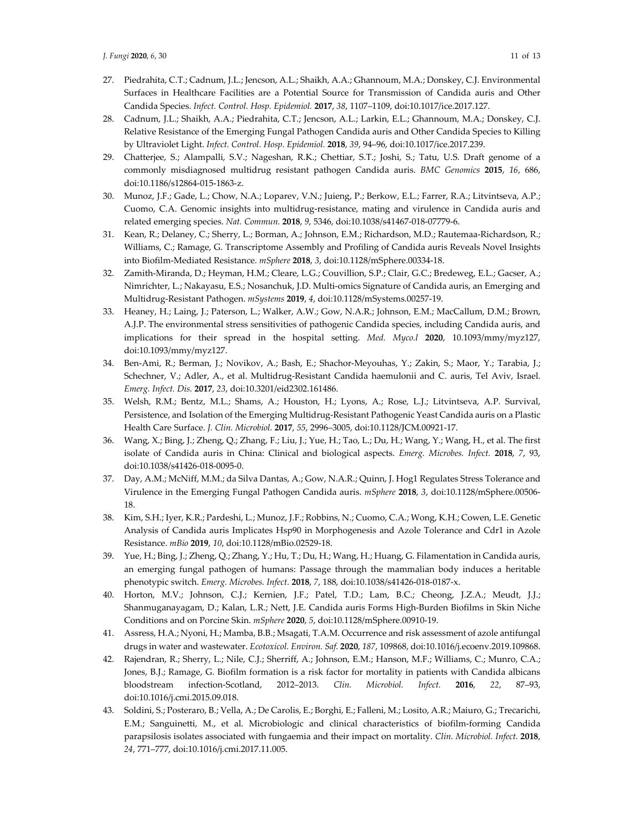- 27. Piedrahita, C.T.; Cadnum, J.L.; Jencson, A.L.; Shaikh, A.A.; Ghannoum, M.A.; Donskey, C.J. Environmental Surfaces in Healthcare Facilities are a Potential Source for Transmission of Candida auris and Other Candida Species. *Infect. Control. Hosp. Epidemiol.* **2017**, *38*, 1107–1109, doi:10.1017/ice.2017.127.
- 28. Cadnum, J.L.; Shaikh, A.A.; Piedrahita, C.T.; Jencson, A.L.; Larkin, E.L.; Ghannoum, M.A.; Donskey, C.J. Relative Resistance of the Emerging Fungal Pathogen Candida auris and Other Candida Species to Killing by Ultraviolet Light. *Infect. Control. Hosp. Epidemiol.* **2018**, *39*, 94–96, doi:10.1017/ice.2017.239.
- 29. Chatterjee, S.; Alampalli, S.V.; Nageshan, R.K.; Chettiar, S.T.; Joshi, S.; Tatu, U.S. Draft genome of a commonly misdiagnosed multidrug resistant pathogen Candida auris. *BMC Genomics* **2015**, *16*, 686, doi:10.1186/s12864-015-1863-z.
- 30. Munoz, J.F.; Gade, L.; Chow, N.A.; Loparev, V.N.; Juieng, P.; Berkow, E.L.; Farrer, R.A.; Litvintseva, A.P.; Cuomo, C.A. Genomic insights into multidrug-resistance, mating and virulence in Candida auris and related emerging species. *Nat. Commun.* **2018**, *9*, 5346, doi:10.1038/s41467-018-07779-6.
- 31. Kean, R.; Delaney, C.; Sherry, L.; Borman, A.; Johnson, E.M.; Richardson, M.D.; Rautemaa-Richardson, R.; Williams, C.; Ramage, G. Transcriptome Assembly and Profiling of Candida auris Reveals Novel Insights into Biofilm-Mediated Resistance. *mSphere* **2018**, *3*, doi:10.1128/mSphere.00334-18.
- 32. Zamith-Miranda, D.; Heyman, H.M.; Cleare, L.G.; Couvillion, S.P.; Clair, G.C.; Bredeweg, E.L.; Gacser, A.; Nimrichter, L.; Nakayasu, E.S.; Nosanchuk, J.D. Multi-omics Signature of Candida auris, an Emerging and Multidrug-Resistant Pathogen. *mSystems* **2019**, *4*, doi:10.1128/mSystems.00257-19.
- 33. Heaney, H.; Laing, J.; Paterson, L.; Walker, A.W.; Gow, N.A.R.; Johnson, E.M.; MacCallum, D.M.; Brown, A.J.P. The environmental stress sensitivities of pathogenic Candida species, including Candida auris, and implications for their spread in the hospital setting. *Med. Myco.l* **2020**, 10.1093/mmy/myz127, doi:10.1093/mmy/myz127.
- 34. Ben-Ami, R.; Berman, J.; Novikov, A.; Bash, E.; Shachor-Meyouhas, Y.; Zakin, S.; Maor, Y.; Tarabia, J.; Schechner, V.; Adler, A., et al. Multidrug-Resistant Candida haemulonii and C. auris, Tel Aviv, Israel. *Emerg. Infect. Dis.* **2017**, *23*, doi:10.3201/eid2302.161486.
- 35. Welsh, R.M.; Bentz, M.L.; Shams, A.; Houston, H.; Lyons, A.; Rose, L.J.; Litvintseva, A.P. Survival, Persistence, and Isolation of the Emerging Multidrug-Resistant Pathogenic Yeast Candida auris on a Plastic Health Care Surface. *J. Clin. Microbiol.* **2017**, *55*, 2996–3005, doi:10.1128/JCM.00921-17.
- 36. Wang, X.; Bing, J.; Zheng, Q.; Zhang, F.; Liu, J.; Yue, H.; Tao, L.; Du, H.; Wang, Y.; Wang, H., et al. The first isolate of Candida auris in China: Clinical and biological aspects. *Emerg. Microbes. Infect.* **2018**, *7*, 93, doi:10.1038/s41426-018-0095-0.
- 37. Day, A.M.; McNiff, M.M.; da Silva Dantas, A.; Gow, N.A.R.; Quinn, J. Hog1 Regulates Stress Tolerance and Virulence in the Emerging Fungal Pathogen Candida auris. *mSphere* **2018**, *3*, doi:10.1128/mSphere.00506- 18.
- 38. Kim, S.H.; Iyer, K.R.; Pardeshi, L.; Munoz, J.F.; Robbins, N.; Cuomo, C.A.; Wong, K.H.; Cowen, L.E. Genetic Analysis of Candida auris Implicates Hsp90 in Morphogenesis and Azole Tolerance and Cdr1 in Azole Resistance. *mBio* **2019**, *10*, doi:10.1128/mBio.02529-18.
- 39. Yue, H.; Bing, J.; Zheng, Q.; Zhang, Y.; Hu, T.; Du, H.; Wang, H.; Huang, G. Filamentation in Candida auris, an emerging fungal pathogen of humans: Passage through the mammalian body induces a heritable phenotypic switch. *Emerg. Microbes. Infect.* **2018**, *7*, 188, doi:10.1038/s41426-018-0187-x.
- 40. Horton, M.V.; Johnson, C.J.; Kernien, J.F.; Patel, T.D.; Lam, B.C.; Cheong, J.Z.A.; Meudt, J.J.; Shanmuganayagam, D.; Kalan, L.R.; Nett, J.E. Candida auris Forms High-Burden Biofilms in Skin Niche Conditions and on Porcine Skin. *mSphere* **2020**, *5*, doi:10.1128/mSphere.00910-19.
- 41. Assress, H.A.; Nyoni, H.; Mamba, B.B.; Msagati, T.A.M. Occurrence and risk assessment of azole antifungal drugs in water and wastewater. *Ecotoxicol. Environ. Saf.* **2020**, *187*, 109868, doi:10.1016/j.ecoenv.2019.109868.
- 42. Rajendran, R.; Sherry, L.; Nile, C.J.; Sherriff, A.; Johnson, E.M.; Hanson, M.F.; Williams, C.; Munro, C.A.; Jones, B.J.; Ramage, G. Biofilm formation is a risk factor for mortality in patients with Candida albicans bloodstream infection-Scotland, 2012–2013. *Clin. Microbiol. Infect.* **2016**, *22*, 87–93, doi:10.1016/j.cmi.2015.09.018.
- 43. Soldini, S.; Posteraro, B.; Vella, A.; De Carolis, E.; Borghi, E.; Falleni, M.; Losito, A.R.; Maiuro, G.; Trecarichi, E.M.; Sanguinetti, M., et al. Microbiologic and clinical characteristics of biofilm-forming Candida parapsilosis isolates associated with fungaemia and their impact on mortality. *Clin. Microbiol. Infect.* **2018**, *24*, 771–777, doi:10.1016/j.cmi.2017.11.005.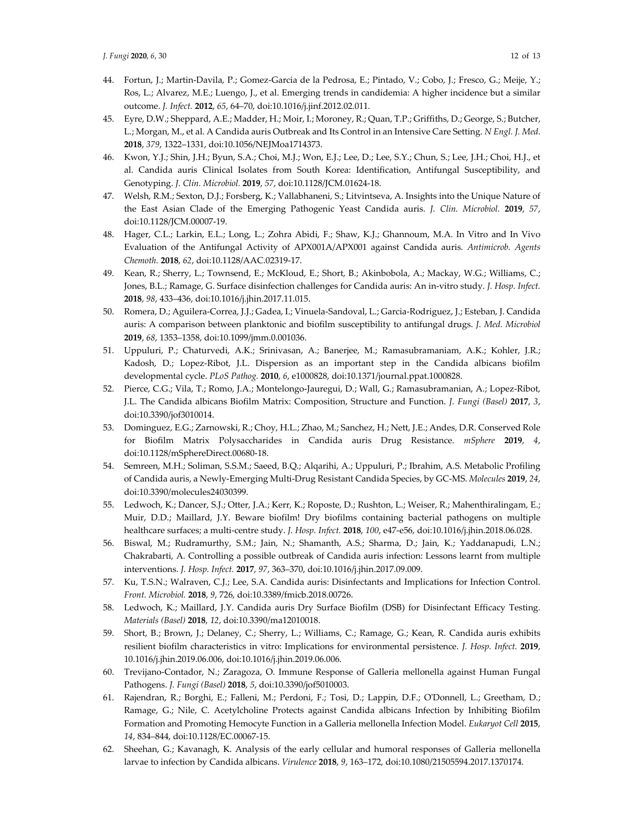- 44. Fortun, J.; Martin-Davila, P.; Gomez-Garcia de la Pedrosa, E.; Pintado, V.; Cobo, J.; Fresco, G.; Meije, Y.; Ros, L.; Alvarez, M.E.; Luengo, J., et al. Emerging trends in candidemia: A higher incidence but a similar outcome. *J. Infect.* **2012**, *65*, 64–70, doi:10.1016/j.jinf.2012.02.011.
- 45. Eyre, D.W.; Sheppard, A.E.; Madder, H.; Moir, I.; Moroney, R.; Quan, T.P.; Griffiths, D.; George, S.; Butcher, L.; Morgan, M., et al. A Candida auris Outbreak and Its Control in an Intensive Care Setting. *N Engl. J. Med.*  **2018**, *379*, 1322–1331, doi:10.1056/NEJMoa1714373.
- 46. Kwon, Y.J.; Shin, J.H.; Byun, S.A.; Choi, M.J.; Won, E.J.; Lee, D.; Lee, S.Y.; Chun, S.; Lee, J.H.; Choi, H.J., et al. Candida auris Clinical Isolates from South Korea: Identification, Antifungal Susceptibility, and Genotyping. *J. Clin. Microbiol.* **2019**, *57*, doi:10.1128/JCM.01624-18.
- 47. Welsh, R.M.; Sexton, D.J.; Forsberg, K.; Vallabhaneni, S.; Litvintseva, A. Insights into the Unique Nature of the East Asian Clade of the Emerging Pathogenic Yeast Candida auris. *J. Clin. Microbiol.* **2019**, *57*, doi:10.1128/JCM.00007-19.
- 48. Hager, C.L.; Larkin, E.L.; Long, L.; Zohra Abidi, F.; Shaw, K.J.; Ghannoum, M.A. In Vitro and In Vivo Evaluation of the Antifungal Activity of APX001A/APX001 against Candida auris. *Antimicrob. Agents Chemoth.* **2018**, *62*, doi:10.1128/AAC.02319-17.
- 49. Kean, R.; Sherry, L.; Townsend, E.; McKloud, E.; Short, B.; Akinbobola, A.; Mackay, W.G.; Williams, C.; Jones, B.L.; Ramage, G. Surface disinfection challenges for Candida auris: An in-vitro study. *J. Hosp. Infect.*  **2018**, *98*, 433–436, doi:10.1016/j.jhin.2017.11.015.
- 50. Romera, D.; Aguilera-Correa, J.J.; Gadea, I.; Vinuela-Sandoval, L.; Garcia-Rodriguez, J.; Esteban, J. Candida auris: A comparison between planktonic and biofilm susceptibility to antifungal drugs. *J. Med. Microbiol*  **2019**, *68*, 1353–1358, doi:10.1099/jmm.0.001036.
- 51. Uppuluri, P.; Chaturvedi, A.K.; Srinivasan, A.; Banerjee, M.; Ramasubramaniam, A.K.; Kohler, J.R.; Kadosh, D.; Lopez-Ribot, J.L. Dispersion as an important step in the Candida albicans biofilm developmental cycle. *PLoS Pathog.* **2010**, *6*, e1000828, doi:10.1371/journal.ppat.1000828.
- 52. Pierce, C.G.; Vila, T.; Romo, J.A.; Montelongo-Jauregui, D.; Wall, G.; Ramasubramanian, A.; Lopez-Ribot, J.L. The Candida albicans Biofilm Matrix: Composition, Structure and Function. *J. Fungi (Basel)* **2017**, *3*, doi:10.3390/jof3010014.
- 53. Dominguez, E.G.; Zarnowski, R.; Choy, H.L.; Zhao, M.; Sanchez, H.; Nett, J.E.; Andes, D.R. Conserved Role for Biofilm Matrix Polysaccharides in Candida auris Drug Resistance. *mSphere* **2019**, *4*, doi:10.1128/mSphereDirect.00680-18.
- 54. Semreen, M.H.; Soliman, S.S.M.; Saeed, B.Q.; Alqarihi, A.; Uppuluri, P.; Ibrahim, A.S. Metabolic Profiling of Candida auris, a Newly-Emerging Multi-Drug Resistant Candida Species, by GC-MS. *Molecules* **2019**, *24*, doi:10.3390/molecules24030399.
- 55. Ledwoch, K.; Dancer, S.J.; Otter, J.A.; Kerr, K.; Roposte, D.; Rushton, L.; Weiser, R.; Mahenthiralingam, E.; Muir, D.D.; Maillard, J.Y. Beware biofilm! Dry biofilms containing bacterial pathogens on multiple healthcare surfaces; a multi-centre study. *J. Hosp. Infect.* **2018**, *100*, e47-e56, doi:10.1016/j.jhin.2018.06.028.
- 56. Biswal, M.; Rudramurthy, S.M.; Jain, N.; Shamanth, A.S.; Sharma, D.; Jain, K.; Yaddanapudi, L.N.; Chakrabarti, A. Controlling a possible outbreak of Candida auris infection: Lessons learnt from multiple interventions. *J. Hosp. Infect.* **2017**, *97*, 363–370, doi:10.1016/j.jhin.2017.09.009.
- 57. Ku, T.S.N.; Walraven, C.J.; Lee, S.A. Candida auris: Disinfectants and Implications for Infection Control. *Front. Microbiol.* **2018**, *9*, 726, doi:10.3389/fmicb.2018.00726.
- 58. Ledwoch, K.; Maillard, J.Y. Candida auris Dry Surface Biofilm (DSB) for Disinfectant Efficacy Testing. *Materials (Basel)* **2018**, *12*, doi:10.3390/ma12010018.
- 59. Short, B.; Brown, J.; Delaney, C.; Sherry, L.; Williams, C.; Ramage, G.; Kean, R. Candida auris exhibits resilient biofilm characteristics in vitro: Implications for environmental persistence. *J. Hosp. Infect.* **2019**, 10.1016/j.jhin.2019.06.006, doi:10.1016/j.jhin.2019.06.006.
- 60. Trevijano-Contador, N.; Zaragoza, O. Immune Response of Galleria mellonella against Human Fungal Pathogens. *J. Fungi (Basel)* **2018**, *5*, doi:10.3390/jof5010003.
- 61. Rajendran, R.; Borghi, E.; Falleni, M.; Perdoni, F.; Tosi, D.; Lappin, D.F.; O'Donnell, L.; Greetham, D.; Ramage, G.; Nile, C. Acetylcholine Protects against Candida albicans Infection by Inhibiting Biofilm Formation and Promoting Hemocyte Function in a Galleria mellonella Infection Model. *Eukaryot Cell* **2015**, *14*, 834–844, doi:10.1128/EC.00067-15.
- 62. Sheehan, G.; Kavanagh, K. Analysis of the early cellular and humoral responses of Galleria mellonella larvae to infection by Candida albicans. *Virulence* **2018**, *9*, 163–172, doi:10.1080/21505594.2017.1370174.